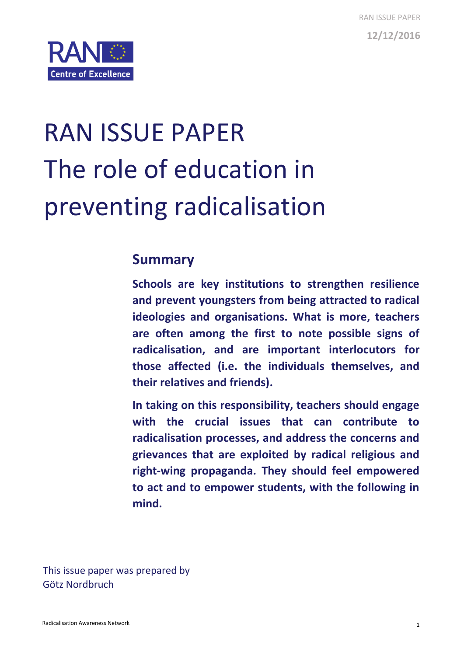

# RAN ISSUE PAPER The role of education in preventing radicalisation

# **Summary**

**Schools are key institutions to strengthen resilience and prevent youngsters from being attracted to radical ideologies and organisations. What is more, teachers are often among the first to note possible signs of radicalisation, and are important interlocutors for those affected (i.e. the individuals themselves, and their relatives and friends).**

**In taking on this responsibility, teachers should engage with the crucial issues that can contribute to radicalisation processes, and address the concerns and grievances that are exploited by radical religious and right-wing propaganda. They should feel empowered to act and to empower students, with the following in mind.**

This issue paper was prepared by Götz Nordbruch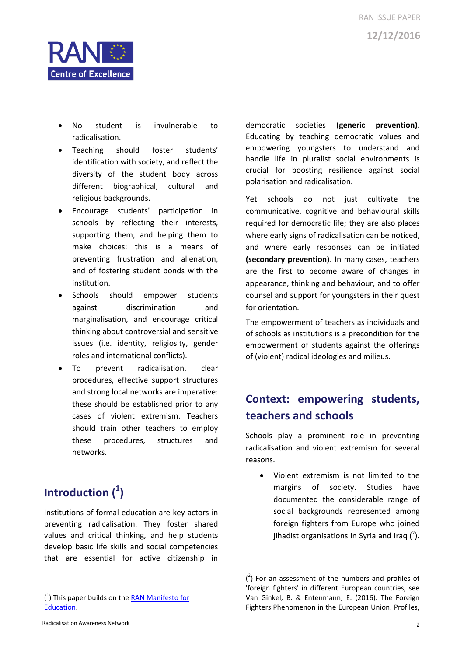



- No student is invulnerable to radicalisation.
- Teaching should foster students' identification with society, and reflect the diversity of the student body across different biographical, cultural and religious backgrounds.
- Encourage students' participation in schools by reflecting their interests, supporting them, and helping them to make choices: this is a means of preventing frustration and alienation, and of fostering student bonds with the institution.
- Schools should empower students against discrimination and marginalisation, and encourage critical thinking about controversial and sensitive issues (i.e. identity, religiosity, gender roles and international conflicts).
- To prevent radicalisation, clear procedures, effective support structures and strong local networks are imperative: these should be established prior to any cases of violent extremism. Teachers should train other teachers to employ these procedures, structures and networks.

# **Introduction ( 1 )**

Institutions of formal education are key actors in preventing radicalisation. They foster shared values and critical thinking, and help students develop basic life skills and social competencies that are essential for active citizenship in

democratic societies **(generic prevention)**. Educating by teaching democratic values and empowering youngsters to understand and handle life in pluralist social environments is crucial for boosting resilience against social polarisation and radicalisation.

Yet schools do not just cultivate the communicative, cognitive and behavioural skills required for democratic life; they are also places where early signs of radicalisation can be noticed, and where early responses can be initiated **(secondary prevention)**. In many cases, teachers are the first to become aware of changes in appearance, thinking and behaviour, and to offer counsel and support for youngsters in their quest for orientation.

The empowerment of teachers as individuals and of schools as institutions is a precondition for the empowerment of students against the offerings of (violent) radical ideologies and milieus.

# **Context: empowering students, teachers and schools**

Schools play a prominent role in preventing radicalisation and violent extremism for several reasons.

 Violent extremism is not limited to the margins of society. Studies have documented the considerable range of social backgrounds represented among foreign fighters from Europe who joined jihadist organisations in Syria and Iraq  $(^2)$ .

**.** 

<sup>(&</sup>lt;sup>1</sup>) This paper builds on the **RAN Manifesto for** [Education.](https://ec.europa.eu/home-affairs/sites/homeaffairs/files/what-we-do/networks/radicalisation_awareness_network/docs/manifesto-for-education-empowering-educators-and-schools_en.pdf)

 $(2)$  For an assessment of the numbers and profiles of 'foreign fighters' in different European countries, see Van Ginkel, B. & Entenmann, E. (2016). The Foreign Fighters Phenomenon in the European Union. Profiles,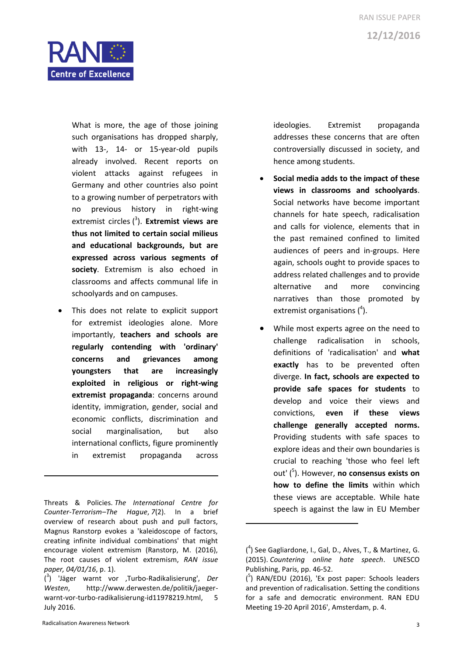

What is more, the age of those joining such organisations has dropped sharply, with 13-, 14- or 15-year-old pupils already involved. Recent reports on violent attacks against refugees in Germany and other countries also point to a growing number of perpetrators with no previous history in right-wing extremist circles ( 3 ). **Extremist views are thus not limited to certain social milieus and educational backgrounds, but are expressed across various segments of society**. Extremism is also echoed in classrooms and affects communal life in schoolyards and on campuses.

 This does not relate to explicit support for extremist ideologies alone. More importantly, **teachers and schools are regularly contending with 'ordinary' concerns and grievances among youngsters that are increasingly exploited in religious or right-wing extremist propaganda**: concerns around identity, immigration, gender, social and economic conflicts, discrimination and social marginalisation, but also international conflicts, figure prominently in extremist propaganda across

Threats & Policies. *The International Centre for Counter-Terrorism–The Hague*, *7*(2). In a brief overview of research about push and pull factors, Magnus Ranstorp evokes a 'kaleidoscope of factors, creating infinite individual combinations' that might encourage violent extremism (Ranstorp, M. (2016), The root causes of violent extremism, *RAN issue paper, 04/01/16*, p. 1).

1

ideologies. Extremist propaganda addresses these concerns that are often controversially discussed in society, and hence among students.

- **Social media adds to the impact of these views in classrooms and schoolyards**. Social networks have become important channels for hate speech, radicalisation and calls for violence, elements that in the past remained confined to limited audiences of peers and in-groups. Here again, schools ought to provide spaces to address related challenges and to provide alternative and more convincing narratives than those promoted by extremist organisations (<sup>4</sup>).
- While most experts agree on the need to challenge radicalisation in schools, definitions of 'radicalisation' and **what exactly** has to be prevented often diverge. **In fact, schools are expected to provide safe spaces for students** to develop and voice their views and convictions, **even if these views challenge generally accepted norms.** Providing students with safe spaces to explore ideas and their own boundaries is crucial to reaching 'those who feel left out' ( 5 ). However, **no consensus exists on how to define the limits** within which these views are acceptable. While hate speech is against the law in EU Member

<sup>(</sup> 3 ) 'Jäger warnt vor 'Turbo-Radikalisierung', *Der Westen*, http://www.derwesten.de/politik/jaegerwarnt-vor-turbo-radikalisierung-id11978219.html, 5 July 2016.

<sup>(</sup> 4 ) See Gagliardone, I., Gal, D., Alves, T., & Martinez, G. (2015). *Countering online hate speech*. UNESCO Publishing, Paris, pp. 46-52.

<sup>(</sup> 5 ) RAN/EDU (2016), 'Ex post paper: Schools leaders and prevention of radicalisation. Setting the conditions for a safe and democratic environment. RAN EDU Meeting 19-20 April 2016', Amsterdam, p. 4.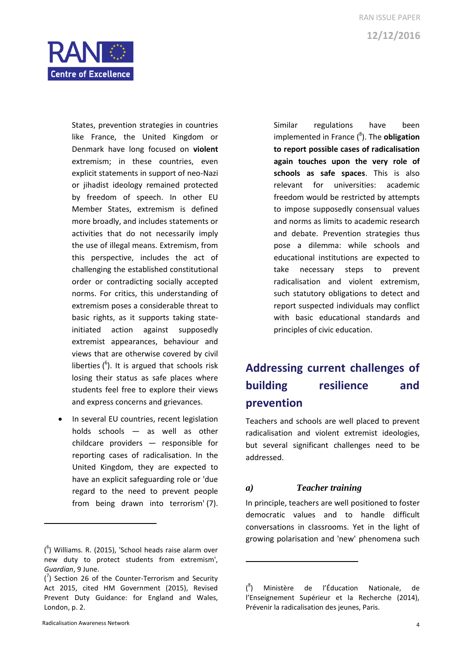

States, prevention strategies in countries like France, the United Kingdom or Denmark have long focused on **violent** extremism; in these countries, even explicit statements in support of neo-Nazi or jihadist ideology remained protected by freedom of speech. In other EU Member States, extremism is defined more broadly, and includes statements or activities that do not necessarily imply the use of illegal means. Extremism, from this perspective, includes the act of challenging the established constitutional order or contradicting socially accepted norms. For critics, this understanding of extremism poses a considerable threat to basic rights, as it supports taking stateinitiated action against supposedly extremist appearances, behaviour and views that are otherwise covered by civil liberties  $(6)$ . It is argued that schools risk losing their status as safe places where students feel free to explore their views and express concerns and grievances.

• In several EU countries, recent legislation holds schools — as well as other childcare providers — responsible for reporting cases of radicalisation. In the United Kingdom, they are expected to have an explicit safeguarding role or 'due regard to the need to prevent people from being drawn into terrorism' (7).

Similar regulations have been implemented in France ( 8 ). The **obligation to report possible cases of radicalisation again touches upon the very role of schools as safe spaces**. This is also relevant for universities: academic freedom would be restricted by attempts to impose supposedly consensual values and norms as limits to academic research and debate. Prevention strategies thus pose a dilemma: while schools and educational institutions are expected to take necessary steps to prevent radicalisation and violent extremism, such statutory obligations to detect and report suspected individuals may conflict with basic educational standards and principles of civic education.

# **Addressing current challenges of building resilience and prevention**

Teachers and schools are well placed to prevent radicalisation and violent extremist ideologies, but several significant challenges need to be addressed.

#### *a) Teacher training*

 $\overline{a}$ 

In principle, teachers are well positioned to foster democratic values and to handle difficult conversations in classrooms. Yet in the light of growing polarisation and 'new' phenomena such

 $(6)$  Williams. R. (2015), 'School heads raise alarm over new duty to protect students from extremism', *Guardian*, 9 June.

 $\binom{7}{1}$  Section 26 of the Counter-Terrorism and Security Act 2015, cited HM Government (2015), Revised Prevent Duty Guidance: for England and Wales, London, p. 2.

 $($ <sup>8</sup> ) Ministère de l'Éducation Nationale, de l'Enseignement Supérieur et la Recherche (2014), Prévenir la radicalisation des jeunes, Paris.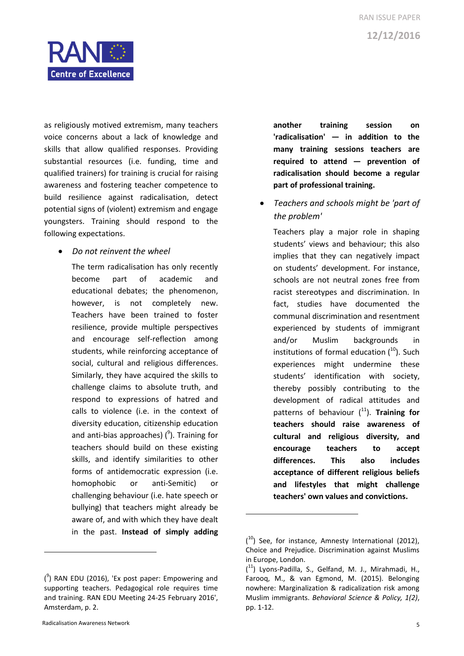

as religiously motived extremism, many teachers voice concerns about a lack of knowledge and skills that allow qualified responses. Providing substantial resources (i.e. funding, time and qualified trainers) for training is crucial for raising awareness and fostering teacher competence to build resilience against radicalisation, detect potential signs of (violent) extremism and engage youngsters. Training should respond to the following expectations.

*Do not reinvent the wheel*

The term radicalisation has only recently become part of academic and educational debates; the phenomenon, however, is not completely new. Teachers have been trained to foster resilience, provide multiple perspectives and encourage self-reflection among students, while reinforcing acceptance of social, cultural and religious differences. Similarly, they have acquired the skills to challenge claims to absolute truth, and respond to expressions of hatred and calls to violence (i.e. in the context of diversity education, citizenship education and anti-bias approaches) (<sup>9</sup>). Training for teachers should build on these existing skills, and identify similarities to other forms of antidemocratic expression (i.e. homophobic or anti-Semitic) or challenging behaviour (i.e. hate speech or bullying) that teachers might already be aware of, and with which they have dealt in the past. **Instead of simply adding** 

 $(3)$  RAN EDU (2016), 'Ex post paper: Empowering and supporting teachers. Pedagogical role requires time and training. RAN EDU Meeting 24-25 February 2016', Amsterdam, p. 2.

**.** 

**another training session on 'radicalisation' — in addition to the many training sessions teachers are required to attend — prevention of radicalisation should become a regular part of professional training.**

 *Teachers and schools might be 'part of the problem'*

Teachers play a major role in shaping students' views and behaviour; this also implies that they can negatively impact on students' development. For instance, schools are not neutral zones free from racist stereotypes and discrimination. In fact, studies have documented the communal discrimination and resentment experienced by students of immigrant and/or Muslim backgrounds in institutions of formal education  $(^{10})$ . Such experiences might undermine these students' identification with society, thereby possibly contributing to the development of radical attitudes and patterns of behaviour (<sup>11</sup>). **Training for teachers should raise awareness of cultural and religious diversity, and encourage teachers to accept differences. This also includes acceptance of different religious beliefs and lifestyles that might challenge teachers' own values and convictions.**

 $(10)$  See, for instance, Amnesty International (2012), Choice and Prejudice. Discrimination against Muslims in Europe, London.

<sup>(</sup> <sup>11</sup>) Lyons-Padilla, S., Gelfand, M. J., Mirahmadi, H., Farooq, M., & van Egmond, M. (2015). Belonging nowhere: Marginalization & radicalization risk among Muslim immigrants. *Behavioral Science & Policy, 1(2)*, pp. 1-12.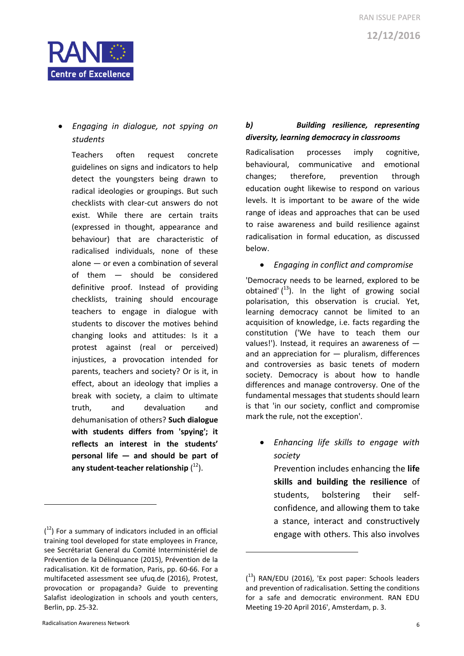

# *Engaging in dialogue, not spying on students*

Teachers often request concrete guidelines on signs and indicators to help detect the youngsters being drawn to radical ideologies or groupings. But such checklists with clear-cut answers do not exist. While there are certain traits (expressed in thought, appearance and behaviour) that are characteristic of radicalised individuals, none of these alone — or even a combination of several of them — should be considered definitive proof. Instead of providing checklists, training should encourage teachers to engage in dialogue with students to discover the motives behind changing looks and attitudes: Is it a protest against (real or perceived) injustices, a provocation intended for parents, teachers and society? Or is it, in effect, about an ideology that implies a break with society, a claim to ultimate truth, and devaluation and dehumanisation of others? **Such dialogue with students differs from 'spying'; it reflects an interest in the students' personal life — and should be part of**  any student-teacher relationship (<sup>12</sup>).

#### *b) Building resilience, representing diversity, learning democracy in classrooms*

Radicalisation processes imply cognitive, behavioural, communicative and emotional changes; therefore, prevention through education ought likewise to respond on various levels. It is important to be aware of the wide range of ideas and approaches that can be used to raise awareness and build resilience against radicalisation in formal education, as discussed below.

#### *Engaging in conflict and compromise*

'Democracy needs to be learned, explored to be obtained'  $(1^3)$ . In the light of growing social polarisation, this observation is crucial. Yet, learning democracy cannot be limited to an acquisition of knowledge, i.e. facts regarding the constitution ('We have to teach them our values!'). Instead, it requires an awareness of  $$ and an appreciation for  $-$  pluralism, differences and controversies as basic tenets of modern society. Democracy is about how to handle differences and manage controversy. One of the fundamental messages that students should learn is that 'in our society, conflict and compromise mark the rule, not the exception'.

 *Enhancing life skills to engage with society*

Prevention includes enhancing the **life skills and building the resilience** of students, bolstering their selfconfidence, and allowing them to take a stance, interact and constructively engage with others. This also involves

**.** 

 $(1<sup>2</sup>)$  For a summary of indicators included in an official training tool developed for state employees in France, see Secrétariat General du Comité Interministériel de Prévention de la Délinquance (2015), Prévention de la radicalisation. Kit de formation, Paris, pp. 60-66. For a multifaceted assessment see ufuq.de (2016), Protest, provocation or propaganda? Guide to preventing Salafist ideologization in schools and youth centers, Berlin, pp. 25-32.

<sup>(</sup> <sup>13</sup>) RAN/EDU (2016), 'Ex post paper: Schools leaders and prevention of radicalisation. Setting the conditions for a safe and democratic environment. RAN EDU Meeting 19-20 April 2016', Amsterdam, p. 3.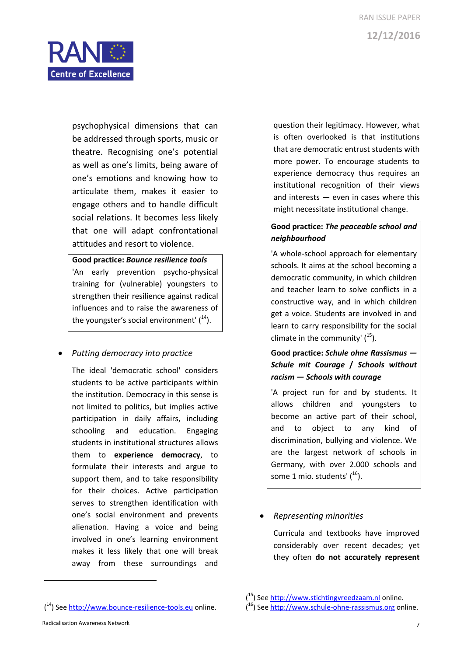

psychophysical dimensions that can be addressed through sports, music or theatre. Recognising one's potential as well as one's limits, being aware of one's emotions and knowing how to articulate them, makes it easier to engage others and to handle difficult social relations. It becomes less likely that one will adapt confrontational attitudes and resort to violence.

**Good practice:** *Bounce resilience tools* 

'An early prevention psycho-physical training for (vulnerable) youngsters to strengthen their resilience against radical influences and to raise the awareness of the youngster's social environment'  $(1^4)$ .

*Putting democracy into practice*

The ideal 'democratic school' considers students to be active participants within the institution. Democracy in this sense is not limited to politics, but implies active participation in daily affairs, including schooling and education. Engaging students in institutional structures allows them to **experience democracy**, to formulate their interests and argue to support them, and to take responsibility for their choices. Active participation serves to strengthen identification with one's social environment and prevents alienation. Having a voice and being involved in one's learning environment makes it less likely that one will break away from these surroundings and

question their legitimacy. However, what is often overlooked is that institutions that are democratic entrust students with more power. To encourage students to experience democracy thus requires an institutional recognition of their views and interests — even in cases where this might necessitate institutional change.

#### **Good practice:** *The peaceable school and neighbourhood*

'A whole-school approach for elementary schools. It aims at the school becoming a democratic community, in which children and teacher learn to solve conflicts in a constructive way, and in which children get a voice. Students are involved in and learn to carry responsibility for the social climate in the community'  $(^{15})$ .

## **Good practice:** *Schule ohne Rassismus — Schule mit Courage* **/** *Schools without racism — Schools with courage*

'A project run for and by students. It allows children and youngsters to become an active part of their school, and to object to any kind of discrimination, bullying and violence. We are the largest network of schools in Germany, with over 2.000 schools and some 1 mio. students' (<sup>16</sup>).

#### *Representing minorities*

1

Curricula and textbooks have improved considerably over recent decades; yet they often **do not accurately represent** 

 $\overline{\phantom{a}}$ 

<sup>(&</sup>lt;sup>15</sup>) See [http://www.stichtingvreedzaam.nl](http://www.stichtingvreedzaam.nl/) online.

<sup>(&</sup>lt;sup>16</sup>) See [http://www.schule-ohne-rassismus.org](http://www.schule-ohne-rassismus.org/) online.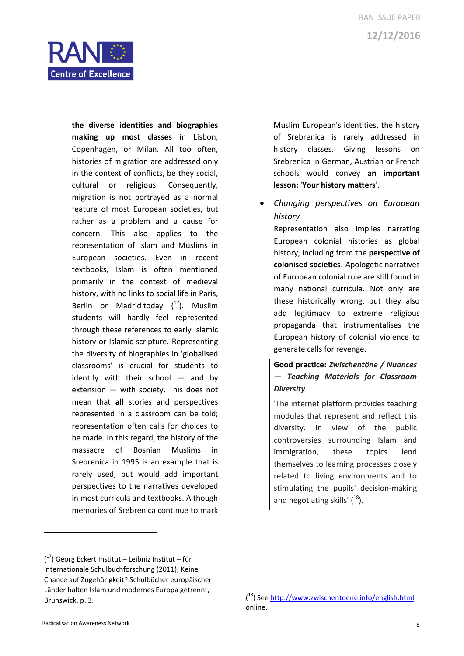

**the diverse identities and biographies making up most classes** in Lisbon, Copenhagen, or Milan. All too often, histories of migration are addressed only in the context of conflicts, be they social, cultural or religious. Consequently, migration is not portrayed as a normal feature of most European societies, but rather as a problem and a cause for concern. This also applies to the representation of Islam and Muslims in European societies. Even in recent textbooks, Islam is often mentioned primarily in the context of medieval history, with no links to social life in Paris, Berlin or Madrid today  $(^{17})$ . Muslim students will hardly feel represented through these references to early Islamic history or Islamic scripture. Representing the diversity of biographies in 'globalised classrooms' is crucial for students to identify with their school — and by extension — with society. This does not mean that **all** stories and perspectives represented in a classroom can be told; representation often calls for choices to be made. In this regard, the history of the massacre of Bosnian Muslims in Srebrenica in 1995 is an example that is rarely used, but would add important perspectives to the narratives developed in most curricula and textbooks. Although memories of Srebrenica continue to mark

Muslim European's identities, the history of Srebrenica is rarely addressed in history classes. Giving lessons on Srebrenica in German, Austrian or French schools would convey **an important lesson:** '**Your history matters**'.

 *Changing perspectives on European history*

Representation also implies narrating European colonial histories as global history, including from the **perspective of colonised societies**. Apologetic narratives of European colonial rule are still found in many national curricula. Not only are these historically wrong, but they also add legitimacy to extreme religious propaganda that instrumentalises the European history of colonial violence to generate calls for revenge.

**Good practice:** *Zwischentöne / Nuances — Teaching Materials for Classroom Diversity* 

'The internet platform provides teaching modules that represent and reflect this diversity. In view of the public controversies surrounding Islam and immigration, these topics lend themselves to learning processes closely related to living environments and to stimulating the pupils' decision-making and negotiating skills' (<sup>18</sup>).

1

<sup>(</sup> <sup>17</sup>) Georg Eckert Institut – Leibniz Institut – für internationale Schulbuchforschung (2011), Keine Chance auf Zugehörigkeit? Schulbücher europäischer Länder halten Islam und modernes Europa getrennt, Brunswick, p. 3.

<sup>(&</sup>lt;sup>18</sup>) See<http://www.zwischentoene.info/english.html> online.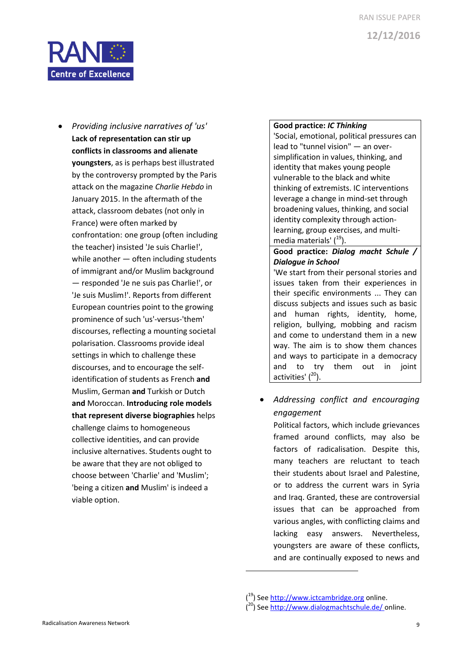

 *Providing inclusive narratives of 'us'* **Lack of representation can stir up conflicts in classrooms and alienate youngsters**, as is perhaps best illustrated by the controversy prompted by the Paris attack on the magazine *Charlie Hebdo* in January 2015. In the aftermath of the attack, classroom debates (not only in France) were often marked by confrontation: one group (often including the teacher) insisted 'Je suis Charlie!', while another — often including students of immigrant and/or Muslim background — responded 'Je ne suis pas Charlie!', or 'Je suis Muslim!'. Reports from different European countries point to the growing prominence of such 'us'-versus-'them' discourses, reflecting a mounting societal polarisation. Classrooms provide ideal settings in which to challenge these discourses, and to encourage the selfidentification of students as French **and** Muslim, German **and** Turkish or Dutch **and** Moroccan. **Introducing role models that represent diverse biographies** helps challenge claims to homogeneous collective identities, and can provide inclusive alternatives. Students ought to be aware that they are not obliged to choose between 'Charlie' and 'Muslim'; 'being a citizen **and** Muslim' is indeed a viable option.

#### **Good practice:** *IC Thinking*

'Social, emotional, political pressures can lead to "tunnel vision" — an oversimplification in values, thinking, and identity that makes young people vulnerable to the black and white thinking of extremists. IC interventions leverage a change in mind-set through broadening values, thinking, and social identity complexity through actionlearning, group exercises, and multimedia materials' (<sup>19</sup>).

**Good practice:** *Dialog macht Schule / Dialogue in School*

'We start from their personal stories and issues taken from their experiences in their specific environments ... They can discuss subjects and issues such as basic and human rights, identity, home, religion, bullying, mobbing and racism and come to understand them in a new way. The aim is to show them chances and ways to participate in a democracy and to try them out in joint activities' (<sup>20</sup>).

 *Addressing conflict and encouraging engagement*

Political factors, which include grievances framed around conflicts, may also be factors of radicalisation. Despite this, many teachers are reluctant to teach their students about Israel and Palestine, or to address the current wars in Syria and Iraq. Granted, these are controversial issues that can be approached from various angles, with conflicting claims and lacking easy answers. Nevertheless, youngsters are aware of these conflicts, and are continually exposed to news and

<sup>(&</sup>lt;sup>19</sup>) See [http://www.ictcambridge.org](http://www.ictcambridge.org/) online.

<sup>(&</sup>lt;sup>20</sup>) See<http://www.dialogmachtschule.de/> online.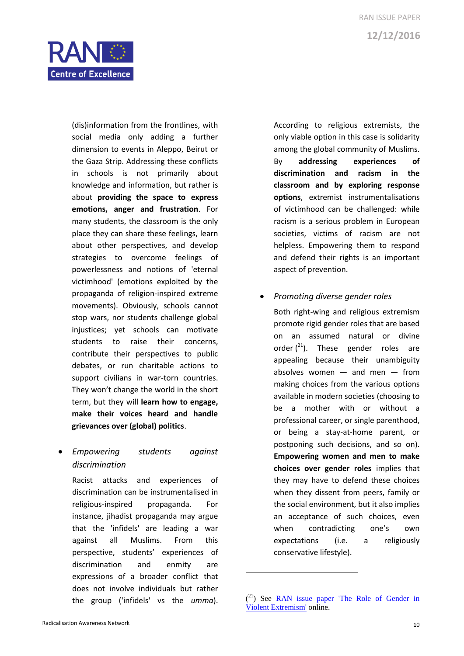

(dis)information from the frontlines, with social media only adding a further dimension to events in Aleppo, Beirut or the Gaza Strip. Addressing these conflicts in schools is not primarily about knowledge and information, but rather is about **providing the space to express emotions, anger and frustration**. For many students, the classroom is the only place they can share these feelings, learn about other perspectives, and develop strategies to overcome feelings of powerlessness and notions of 'eternal victimhood' (emotions exploited by the propaganda of religion-inspired extreme movements). Obviously, schools cannot stop wars, nor students challenge global injustices; yet schools can motivate students to raise their concerns, contribute their perspectives to public debates, or run charitable actions to support civilians in war-torn countries. They won't change the world in the short term, but they will **learn how to engage, make their voices heard and handle grievances over (global) politics**.

### *Empowering students against discrimination*

Racist attacks and experiences of discrimination can be instrumentalised in religious-inspired propaganda. For instance, jihadist propaganda may argue that the 'infidels' are leading a war against all Muslims. From this perspective, students' experiences of discrimination and enmity are expressions of a broader conflict that does not involve individuals but rather the group ('infidels' vs the *umma*).

According to religious extremists, the only viable option in this case is solidarity among the global community of Muslims. By **addressing experiences of discrimination and racism in the classroom and by exploring response options**, extremist instrumentalisations of victimhood can be challenged: while racism is a serious problem in European societies, victims of racism are not helpless. Empowering them to respond and defend their rights is an important aspect of prevention.

*Promoting diverse gender roles*

Both right-wing and religious extremism promote rigid gender roles that are based on an assumed natural or divine order  $\binom{21}{1}$ . These gender roles are appealing because their unambiguity absolves women  $-$  and men  $-$  from making choices from the various options available in modern societies (choosing to be a mother with or without a professional career, or single parenthood, or being a stay-at-home parent, or postponing such decisions, and so on). **Empowering women and men to make choices over gender roles** implies that they may have to defend these choices when they dissent from peers, family or the social environment, but it also implies an acceptance of such choices, even when contradicting one's own expectations (i.e. a religiously conservative lifestyle).

 $(2<sup>1</sup>)$  See RAN issue paper The Role of Gender in [Violent Extremism'](https://ec.europa.eu/home-affairs/sites/homeaffairs/files/what-we-do/networks/radicalisation_awareness_network/ran-papers/docs/issue_paper_gender_dec2015_en.pdf) online.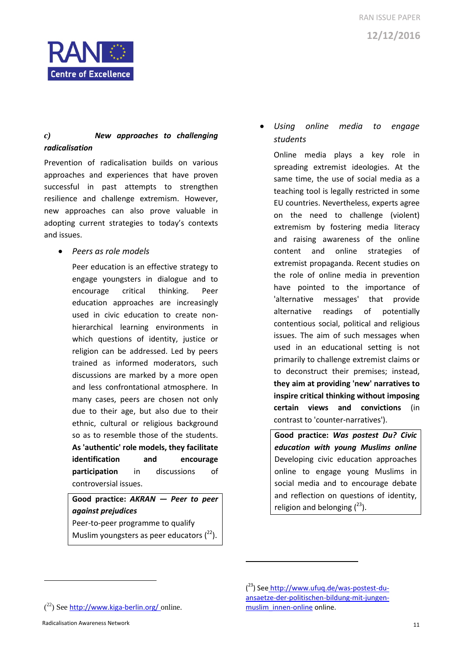



#### *c) New approaches to challenging radicalisation*

Prevention of radicalisation builds on various approaches and experiences that have proven successful in past attempts to strengthen resilience and challenge extremism. However, new approaches can also prove valuable in adopting current strategies to today's contexts and issues.

*Peers as role models*

Peer education is an effective strategy to engage youngsters in dialogue and to encourage critical thinking. Peer education approaches are increasingly used in civic education to create nonhierarchical learning environments in which questions of identity, justice or religion can be addressed. Led by peers trained as informed moderators, such discussions are marked by a more open and less confrontational atmosphere. In many cases, peers are chosen not only due to their age, but also due to their ethnic, cultural or religious background so as to resemble those of the students. **As 'authentic' role models, they facilitate identification and encourage participation** in discussions of controversial issues.

**Good practice:** *AKRAN — Peer to peer against prejudices*  Peer-to-peer programme to qualify Muslim youngsters as peer educators  $(^{22})$ .

## *Using online media to engage students*

Online media plays a key role in spreading extremist ideologies. At the same time, the use of social media as a teaching tool is legally restricted in some EU countries. Nevertheless, experts agree on the need to challenge (violent) extremism by fostering media literacy and raising awareness of the online content and online strategies of extremist propaganda. Recent studies on the role of online media in prevention have pointed to the importance of 'alternative messages' that provide alternative readings of potentially contentious social, political and religious issues. The aim of such messages when used in an educational setting is not primarily to challenge extremist claims or to deconstruct their premises; instead, **they aim at providing 'new' narratives to inspire critical thinking without imposing certain views and convictions** (in contrast to 'counter-narratives').

**Good practice:** *Was postest Du? Civic education with young Muslims online* Developing civic education approaches online to engage young Muslims in social media and to encourage debate and reflection on questions of identity, religion and belonging  $(^{23})$ .

 $\overline{\phantom{a}}$ 

 $(2^2)$  See <http://www.kiga-berlin.org/> online.

 $\overline{\phantom{a}}$ 

<sup>(&</sup>lt;sup>23</sup>) See [http://www.ufuq.de/was-postest-du](http://www.ufuq.de/was-postest-du-ansaetze-der-politischen-bildung-mit-jungen-muslim_innen-online)[ansaetze-der-politischen-bildung-mit-jungen](http://www.ufuq.de/was-postest-du-ansaetze-der-politischen-bildung-mit-jungen-muslim_innen-online)[muslim\\_innen-online](http://www.ufuq.de/was-postest-du-ansaetze-der-politischen-bildung-mit-jungen-muslim_innen-online) online.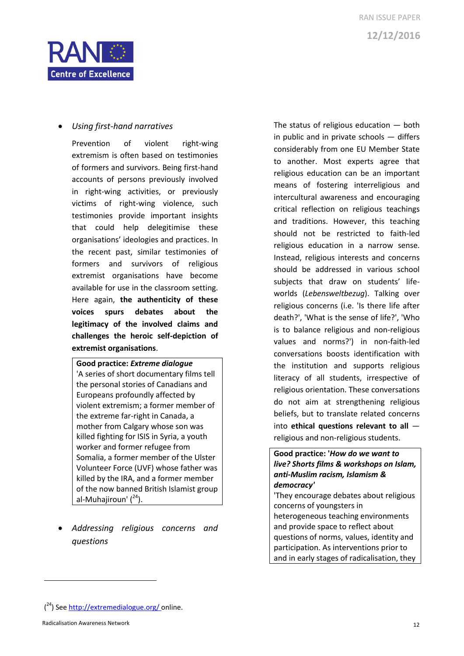



#### *Using first-hand narratives*

Prevention of violent right-wing extremism is often based on testimonies of formers and survivors. Being first-hand accounts of persons previously involved in right-wing activities, or previously victims of right-wing violence, such testimonies provide important insights that could help delegitimise these organisations' ideologies and practices. In the recent past, similar testimonies of formers and survivors of religious extremist organisations have become available for use in the classroom setting. Here again, **the authenticity of these voices spurs debates about the legitimacy of the involved claims and challenges the heroic self-depiction of extremist organisations**.

**Good practice:** *Extreme dialogue*  'A series of short documentary films tell the personal stories of Canadians and Europeans profoundly affected by violent extremism; a former member of the extreme far-right in Canada, a mother from Calgary whose son was killed fighting for ISIS in Syria, a youth worker and former refugee from Somalia, a former member of the Ulster Volunteer Force (UVF) whose father was killed by the IRA, and a former member of the now banned British Islamist group al-Muhajiroun' (<sup>24</sup>).

 *Addressing religious concerns and questions*

The status of religious education — both in public and in private schools — differs considerably from one EU Member State to another. Most experts agree that religious education can be an important means of fostering interreligious and intercultural awareness and encouraging critical reflection on religious teachings and traditions. However, this teaching should not be restricted to faith-led religious education in a narrow sense. Instead, religious interests and concerns should be addressed in various school subjects that draw on students' lifeworlds (*Lebensweltbezug*). Talking over religious concerns (i.e. 'Is there life after death?', 'What is the sense of life?', 'Who is to balance religious and non-religious values and norms?') in non-faith-led conversations boosts identification with the institution and supports religious literacy of all students, irrespective of religious orientation. These conversations do not aim at strengthening religious beliefs, but to translate related concerns into **ethical questions relevant to all**  religious and non-religious students.

#### **Good practice: '***How do we want to live? Shorts films & workshops on Islam, anti-Muslim racism, Islamism & democracy'*

'They encourage debates about religious concerns of youngsters in heterogeneous teaching environments and provide space to reflect about questions of norms, values, identity and participation. As interventions prior to and in early stages of radicalisation, they

 $\overline{\phantom{a}}$ 

<sup>(&</sup>lt;sup>24</sup>) See<http://extremedialogue.org/> online.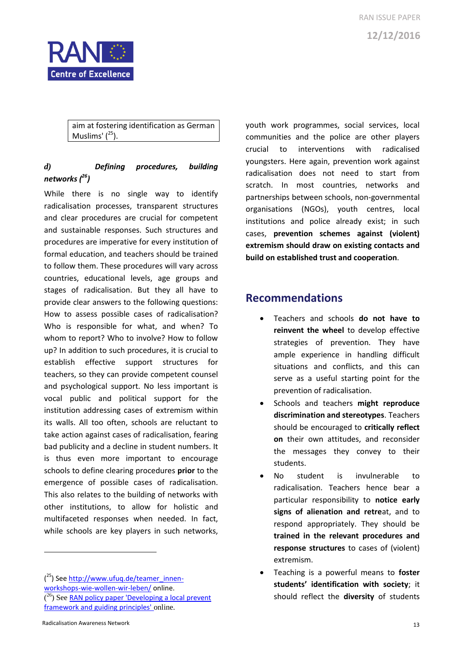

aim at fostering identification as German Muslims' ( <sup>25</sup>).

### *d) Defining procedures, building networks ( 26)*

While there is no single way to identify radicalisation processes, transparent structures and clear procedures are crucial for competent and sustainable responses. Such structures and procedures are imperative for every institution of formal education, and teachers should be trained to follow them. These procedures will vary across countries, educational levels, age groups and stages of radicalisation. But they all have to provide clear answers to the following questions: How to assess possible cases of radicalisation? Who is responsible for what, and when? To whom to report? Who to involve? How to follow up? In addition to such procedures, it is crucial to establish effective support structures for teachers, so they can provide competent counsel and psychological support. No less important is vocal public and political support for the institution addressing cases of extremism within its walls. All too often, schools are reluctant to take action against cases of radicalisation, fearing bad publicity and a decline in student numbers. It is thus even more important to encourage schools to define clearing procedures **prior** to the emergence of possible cases of radicalisation. This also relates to the building of networks with other institutions, to allow for holistic and multifaceted responses when needed. In fact, while schools are key players in such networks,

(<sup>25</sup>) See [http://www.ufuq.de/teamer\\_innen](http://www.ufuq.de/teamer_innen-workshops-wie-wollen-wir-leben/)[workshops-wie-wollen-wir-leben/](http://www.ufuq.de/teamer_innen-workshops-wie-wollen-wir-leben/) online. (<sup>26</sup>) See **RAN policy paper 'Developing a local prevent** [framework and guiding principles'](https://ec.europa.eu/home-affairs/sites/homeaffairs/files/what-we-do/networks/radicalisation_awareness_network/ran-papers/docs/policy_paper_developing_local_prevent_framework_guiding_112016_en.pdf) online.

youth work programmes, social services, local communities and the police are other players crucial to interventions with radicalised youngsters. Here again, prevention work against radicalisation does not need to start from scratch. In most countries, networks and partnerships between schools, non-governmental organisations (NGOs), youth centres, local institutions and police already exist; in such cases, **prevention schemes against (violent) extremism should draw on existing contacts and build on established trust and cooperation**.

# **Recommendations**

- Teachers and schools **do not have to reinvent the wheel** to develop effective strategies of prevention. They have ample experience in handling difficult situations and conflicts, and this can serve as a useful starting point for the prevention of radicalisation.
- Schools and teachers **might reproduce discrimination and stereotypes**. Teachers should be encouraged to **critically reflect on** their own attitudes, and reconsider the messages they convey to their students.
- No student is invulnerable to radicalisation. Teachers hence bear a particular responsibility to **notice early signs of alienation and retre**at, and to respond appropriately. They should be **trained in the relevant procedures and response structures** to cases of (violent) extremism.
- Teaching is a powerful means to **foster students' identification with society**; it should reflect the **diversity** of students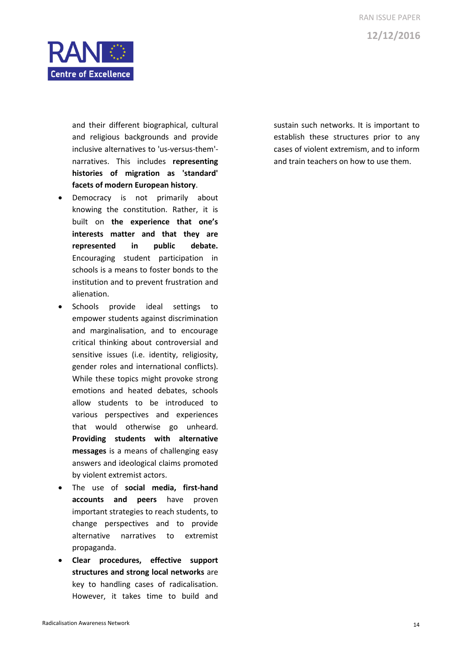

and their different biographical, cultural and religious backgrounds and provide inclusive alternatives to 'us-versus-them' narratives. This includes **representing histories of migration as 'standard' facets of modern European history**.

- Democracy is not primarily about knowing the constitution. Rather, it is built on **the experience that one's interests matter and that they are represented in public debate.** Encouraging student participation in schools is a means to foster bonds to the institution and to prevent frustration and alienation.
- Schools provide ideal settings to empower students against discrimination and marginalisation, and to encourage critical thinking about controversial and sensitive issues (i.e. identity, religiosity, gender roles and international conflicts). While these topics might provoke strong emotions and heated debates, schools allow students to be introduced to various perspectives and experiences that would otherwise go unheard. **Providing students with alternative messages** is a means of challenging easy answers and ideological claims promoted by violent extremist actors.
- The use of **social media, first-hand accounts and peers** have proven important strategies to reach students, to change perspectives and to provide alternative narratives to extremist propaganda.
- **Clear procedures, effective support structures and strong local networks** are key to handling cases of radicalisation. However, it takes time to build and

sustain such networks. It is important to establish these structures prior to any cases of violent extremism, and to inform and train teachers on how to use them.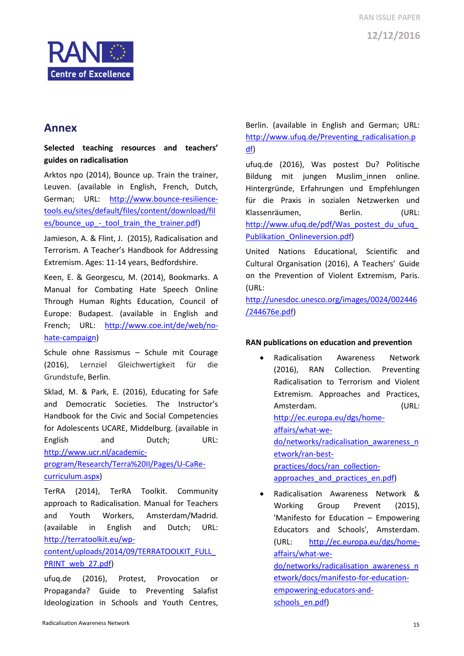

## **Annex**

#### **Selected teaching resources and teachers' guides on radicalisation**

Arktos npo (2014), Bounce up. Train the trainer, Leuven. (available in English, French, Dutch, German; URL: [http://www.bounce-resilience](http://www.bounce-resilience-tools.eu/sites/default/files/content/download/files/bounce_up_-_tool_train_the_trainer.pdf)[tools.eu/sites/default/files/content/download/fil](http://www.bounce-resilience-tools.eu/sites/default/files/content/download/files/bounce_up_-_tool_train_the_trainer.pdf) es/bounce up - tool train the trainer.pdf)

Jamieson, A. & Flint, J. (2015), Radicalisation and Terrorism. A Teacher's Handbook for Addressing Extremism. Ages: 11-14 years, Bedfordshire.

Keen, E. & Georgescu, M. (2014), Bookmarks. A Manual for Combating Hate Speech Online Through Human Rights Education, Council of Europe: Budapest. (available in English and French; URL: [http://www.coe.int/de/web/no](http://www.coe.int/de/web/no-hate-campaign)[hate-campaign\)](http://www.coe.int/de/web/no-hate-campaign)

Schule ohne Rassismus – Schule mit Courage (2016), Lernziel Gleichwertigkeit für die Grundstufe, Berlin.

Sklad, M. & Park, E. (2016), Educating for Safe and Democratic Societies. The Instructor's Handbook for the Civic and Social Competencies for Adolescents UCARE, Middelburg. (available in English and Dutch; URL: [http://www.ucr.nl/academic-](http://www.ucr.nl/academic-program/Research/Terra%20II/Pages/U-CaRe-curriculum.aspx)

[program/Research/Terra%20II/Pages/U-CaRe](http://www.ucr.nl/academic-program/Research/Terra%20II/Pages/U-CaRe-curriculum.aspx)[curriculum.aspx\)](http://www.ucr.nl/academic-program/Research/Terra%20II/Pages/U-CaRe-curriculum.aspx)

TerRA (2014), TerRA Toolkit. Community approach to Radicalisation. Manual for Teachers and Youth Workers, Amsterdam/Madrid. (available in English and Dutch; URL: [http://terratoolkit.eu/wp-](https://docs.google.com/viewer?docex=1&url=http://terratoolkit.eu/wp-content/uploads/2014/09/TERRATOOLKIT_FULL_PRINT_web_27.pdf)

## [content/uploads/2014/09/TERRATOOLKIT\\_FULL\\_](https://docs.google.com/viewer?docex=1&url=http://terratoolkit.eu/wp-content/uploads/2014/09/TERRATOOLKIT_FULL_PRINT_web_27.pdf) [PRINT\\_web\\_27.pdf\)](https://docs.google.com/viewer?docex=1&url=http://terratoolkit.eu/wp-content/uploads/2014/09/TERRATOOLKIT_FULL_PRINT_web_27.pdf)

ufuq.de (2016), Protest, Provocation or Propaganda? Guide to Preventing Salafist Ideologization in Schools and Youth Centres,

Berlin. (available in English and German; URL: [http://www.ufuq.de/Preventing\\_radicalisation.p](http://www.ufuq.de/Preventing_radicalisation.pdf) [df\)](http://www.ufuq.de/Preventing_radicalisation.pdf)

ufuq.de (2016), Was postest Du? Politische Bildung mit jungen Muslim innen online. Hintergründe, Erfahrungen und Empfehlungen für die Praxis in sozialen Netzwerken und Klassenräumen, Berlin. (URL: http://www.ufuq.de/pdf/Was\_postest\_du\_ufuq [Publikation\\_Onlineversion.pdf\)](http://www.ufuq.de/pdf/Was_postest_du_ufuq_Publikation_Onlineversion.pdf)

United Nations Educational, Scientific and Cultural Organisation (2016), A Teachers' Guide on the Prevention of Violent Extremism, Paris. (URL:

[http://unesdoc.unesco.org/images/0024/002446](http://unesdoc.unesco.org/images/0024/002446/244676e.pdf) [/244676e.pdf\)](http://unesdoc.unesco.org/images/0024/002446/244676e.pdf)

#### **RAN publications on education and prevention**

 Radicalisation Awareness Network (2016), RAN Collection. Preventing Radicalisation to Terrorism and Violent Extremism. Approaches and Practices, Amsterdam. (URL: [http://ec.europa.eu/dgs/home](http://ec.europa.eu/dgs/home-affairs/what-we-do/networks/radicalisation_awareness_network/ran-best-practices/docs/ran_collection-approaches_and_practices_en.pdf)[affairs/what-we](http://ec.europa.eu/dgs/home-affairs/what-we-do/networks/radicalisation_awareness_network/ran-best-practices/docs/ran_collection-approaches_and_practices_en.pdf)[do/networks/radicalisation\\_awareness\\_n](http://ec.europa.eu/dgs/home-affairs/what-we-do/networks/radicalisation_awareness_network/ran-best-practices/docs/ran_collection-approaches_and_practices_en.pdf) [etwork/ran-best](http://ec.europa.eu/dgs/home-affairs/what-we-do/networks/radicalisation_awareness_network/ran-best-practices/docs/ran_collection-approaches_and_practices_en.pdf)[practices/docs/ran\\_collection](http://ec.europa.eu/dgs/home-affairs/what-we-do/networks/radicalisation_awareness_network/ran-best-practices/docs/ran_collection-approaches_and_practices_en.pdf)approaches and practices en.pdf)

 Radicalisation Awareness Network & Working Group Prevent (2015), 'Manifesto for Education – Empowering Educators and Schools', Amsterdam. (URL: [http://ec.europa.eu/dgs/home](http://ec.europa.eu/dgs/home-affairs/what-we-do/networks/radicalisation_awareness_network/docs/manifesto-for-education-empowering-educators-and-schools_en.pdf)[affairs/what-we](http://ec.europa.eu/dgs/home-affairs/what-we-do/networks/radicalisation_awareness_network/docs/manifesto-for-education-empowering-educators-and-schools_en.pdf)[do/networks/radicalisation\\_awareness\\_n](http://ec.europa.eu/dgs/home-affairs/what-we-do/networks/radicalisation_awareness_network/docs/manifesto-for-education-empowering-educators-and-schools_en.pdf) [etwork/docs/manifesto-for-education](http://ec.europa.eu/dgs/home-affairs/what-we-do/networks/radicalisation_awareness_network/docs/manifesto-for-education-empowering-educators-and-schools_en.pdf)[empowering-educators-and](http://ec.europa.eu/dgs/home-affairs/what-we-do/networks/radicalisation_awareness_network/docs/manifesto-for-education-empowering-educators-and-schools_en.pdf)[schools\\_en.pdf\)](http://ec.europa.eu/dgs/home-affairs/what-we-do/networks/radicalisation_awareness_network/docs/manifesto-for-education-empowering-educators-and-schools_en.pdf)